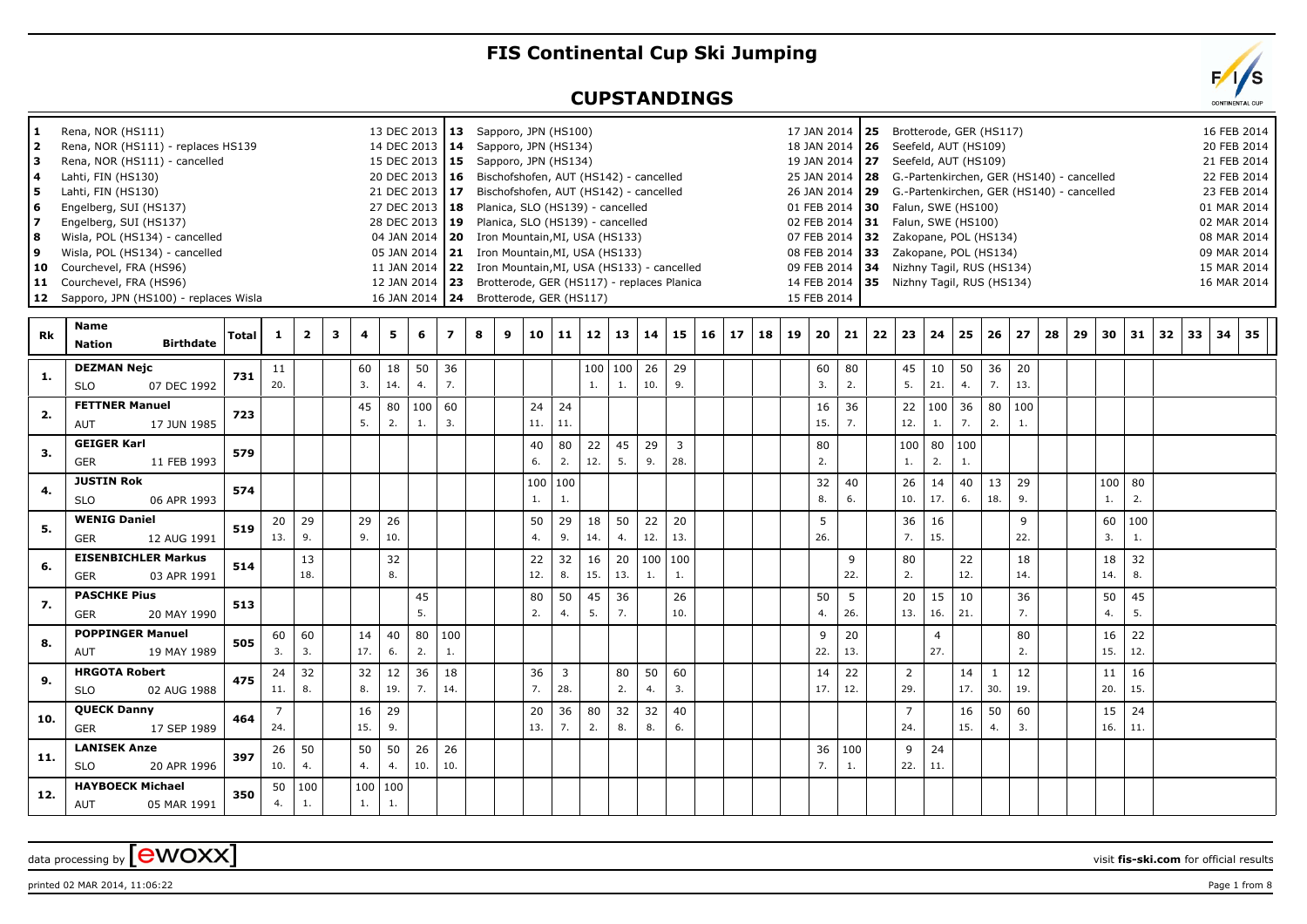## **FIS Continental Cup Ski Jumping**

## **CUPSTANDINGS**

| 1<br>$\mathbf{z}$<br>з<br>4<br>5.<br>6<br>8<br>9 | Rena, NOR (HS111)<br>Rena, NOR (HS111) - replaces HS139<br>Rena, NOR (HS111) - cancelled<br>Lahti, FIN (HS130)<br>Lahti, FIN (HS130)<br>Engelberg, SUI (HS137)<br>Engelberg, SUI (HS137)<br>Wisla, POL (HS134) - cancelled<br>Wisla, POL (HS134) - cancelled<br>10 Courchevel, FRA (HS96)<br>11 Courchevel, FRA (HS96)<br>12 Sapporo, JPN (HS100) - replaces Wisla |       |           |                |   |           |               | 13 DEC 2013   13 Sapporo, JPN (HS100)<br>14 DEC 2013 14<br>15 DEC 2013<br>20 DEC 2013   16 Bischofshofen, AUT (HS142) - cancelled<br>21 DEC 2013 17 Bischofshofen, AUT (HS142) - cancelled<br>27 DEC 2013   18 Planica, SLO (HS139) - cancelled<br>28 DEC 2013<br>04 JAN 2014<br>05 JAN 2014<br>11 JAN 2014<br>12 JAN 2014<br>16 JAN 2014 | 19             |   |   | Sapporo, JPN (HS134)<br>15 Sapporo, JPN (HS134)<br>Planica, SLO (HS139) - cancelled<br><b>20</b> Iron Mountain, MI, USA (HS133)<br>21 Iron Mountain, MI, USA (HS133)<br>24 Brotterode, GER (HS117) |           |           |           | 22 Iron Mountain, MI, USA (HS133) - cancelled<br>23 Brotterode, GER (HS117) - replaces Planica |                       |    |    |    |    | 15 FEB 2014 |           |    | 17 JAN 2014 25 Brotterode, GER (HS117)<br>18 JAN 2014   26 Seefeld, AUT (HS109)<br>19 JAN 2014   27 Seefeld, AUT (HS109)<br>01 FEB 2014   30 Falun, SWE (HS100)<br>02 FEB 2014 31 Falun, SWE (HS100)<br>07 FEB 2014 32 Zakopane, POL (HS134)<br>08 FEB 2014 33 Zakopane, POL (HS134)<br>09 FEB 2014 34 Nizhny Tagil, RUS (HS134)<br>14 FEB 2014 35 Nizhny Tagil, RUS (HS134) |           |           |                     | 25 JAN 2014   28 G.-Partenkirchen, GER (HS140) - cancelled<br>26 JAN 2014 29 G.-Partenkirchen, GER (HS140) - cancelled |    |    |                |           |    |    | 16 FEB 2014<br>20 FEB 2014<br>21 FEB 2014<br>22 FEB 2014<br>23 FEB 2014<br>01 MAR 2014<br>02 MAR 2014<br>08 MAR 2014<br>09 MAR 2014<br>15 MAR 2014<br>16 MAR 2014 |       |  |
|--------------------------------------------------|--------------------------------------------------------------------------------------------------------------------------------------------------------------------------------------------------------------------------------------------------------------------------------------------------------------------------------------------------------------------|-------|-----------|----------------|---|-----------|---------------|-------------------------------------------------------------------------------------------------------------------------------------------------------------------------------------------------------------------------------------------------------------------------------------------------------------------------------------------|----------------|---|---|----------------------------------------------------------------------------------------------------------------------------------------------------------------------------------------------------|-----------|-----------|-----------|------------------------------------------------------------------------------------------------|-----------------------|----|----|----|----|-------------|-----------|----|------------------------------------------------------------------------------------------------------------------------------------------------------------------------------------------------------------------------------------------------------------------------------------------------------------------------------------------------------------------------------|-----------|-----------|---------------------|------------------------------------------------------------------------------------------------------------------------|----|----|----------------|-----------|----|----|-------------------------------------------------------------------------------------------------------------------------------------------------------------------|-------|--|
| Rk                                               | Name<br><b>Birthdate</b><br><b>Nation</b>                                                                                                                                                                                                                                                                                                                          | Total | 1         | $\overline{2}$ | 3 | 4         | 5             | 6                                                                                                                                                                                                                                                                                                                                         | $\overline{ }$ | 8 | 9 | 10                                                                                                                                                                                                 | 11        | 12        | 13        | 14                                                                                             | 15                    | 16 | 17 | 18 | 19 | 20          | 21        | 22 | 23                                                                                                                                                                                                                                                                                                                                                                           | 24        | 25        | 26                  | 27                                                                                                                     | 28 | 29 | 30             | 31        | 32 | 33 |                                                                                                                                                                   | 34 35 |  |
| 1.                                               | <b>DEZMAN Nejc</b><br>07 DEC 1992<br><b>SLO</b>                                                                                                                                                                                                                                                                                                                    | 731   | 11<br>20. |                |   | 60<br>3.  | 18<br>14.     | 50<br>4.                                                                                                                                                                                                                                                                                                                                  | 36<br>7.       |   |   |                                                                                                                                                                                                    |           | 100<br>1. | 100<br>1. | 26<br>10.                                                                                      | 29<br>9.              |    |    |    |    | 60<br>3.    | 80<br>2.  |    | 45<br>5.                                                                                                                                                                                                                                                                                                                                                                     | 10<br>21. | 50<br>4.  | 36<br>7.            | 20<br>13.                                                                                                              |    |    |                |           |    |    |                                                                                                                                                                   |       |  |
| 2.                                               | <b>FETTNER Manuel</b><br><b>AUT</b><br>17 JUN 1985                                                                                                                                                                                                                                                                                                                 | 723   |           |                |   | 45<br>5.  | 80<br>2.      | 100<br>1.                                                                                                                                                                                                                                                                                                                                 | 60<br>3.       |   |   | 24<br>11.                                                                                                                                                                                          | 24<br>11. |           |           |                                                                                                |                       |    |    |    |    | 16<br>15.   | 36<br>7.  |    | 22<br>12.                                                                                                                                                                                                                                                                                                                                                                    | 100<br>1. | 36<br>7.  | 80<br>2.            | 100<br>1.                                                                                                              |    |    |                |           |    |    |                                                                                                                                                                   |       |  |
| 3.                                               | <b>GEIGER Karl</b><br><b>GER</b><br>11 FEB 1993                                                                                                                                                                                                                                                                                                                    | 579   |           |                |   |           |               |                                                                                                                                                                                                                                                                                                                                           |                |   |   | 40<br>6.                                                                                                                                                                                           | 80<br>2.  | 22<br>12. | 45<br>-5. | 29<br>9.                                                                                       | $\overline{3}$<br>28. |    |    |    |    | 80<br>2.    |           |    | 100   80<br>1.                                                                                                                                                                                                                                                                                                                                                               | 2.        | 100<br>1. |                     |                                                                                                                        |    |    |                |           |    |    |                                                                                                                                                                   |       |  |
| 4.                                               | <b>JUSTIN Rok</b><br><b>SLO</b><br>06 APR 1993                                                                                                                                                                                                                                                                                                                     | 574   |           |                |   |           |               |                                                                                                                                                                                                                                                                                                                                           |                |   |   | 100<br>1.                                                                                                                                                                                          | 100<br>1. |           |           |                                                                                                |                       |    |    |    |    | 32<br>8.    | 40<br>6.  |    | 26<br>10.                                                                                                                                                                                                                                                                                                                                                                    | 14<br>17. | 40<br>6.  | 13<br>18.           | 29<br>9.                                                                                                               |    |    | 100   80<br>1. | 2.        |    |    |                                                                                                                                                                   |       |  |
| 5.                                               | <b>WENIG Daniel</b><br>12 AUG 1991<br><b>GER</b>                                                                                                                                                                                                                                                                                                                   | 519   | 20<br>13. | 29<br>9.       |   | 29<br>9.  | 26<br>10.     |                                                                                                                                                                                                                                                                                                                                           |                |   |   | 50<br>4.                                                                                                                                                                                           | 29<br>9.  | 18<br>14. | 50<br>4.  | 22<br>12.                                                                                      | 20<br>13.             |    |    |    |    | 5<br>26.    |           |    | 36<br>7.                                                                                                                                                                                                                                                                                                                                                                     | 16<br>15. |           |                     | 9<br>22.                                                                                                               |    |    | 60<br>3.       | 100<br>1. |    |    |                                                                                                                                                                   |       |  |
| 6.                                               | <b>EISENBICHLER Markus</b><br>03 APR 1991<br><b>GER</b>                                                                                                                                                                                                                                                                                                            | 514   |           | 13<br>18.      |   |           | 32<br>8.      |                                                                                                                                                                                                                                                                                                                                           |                |   |   | 22<br>12.                                                                                                                                                                                          | 32<br>8.  | 16<br>15. | 20<br>13. | 100<br>1.                                                                                      | 100<br>1.             |    |    |    |    |             | 9<br>22.  |    | 80<br>2.                                                                                                                                                                                                                                                                                                                                                                     |           | 22<br>12. |                     | 18<br>14.                                                                                                              |    |    | 18<br>14.      | 32<br>8.  |    |    |                                                                                                                                                                   |       |  |
| 7.                                               | <b>PASCHKE Pius</b><br><b>GER</b><br>20 MAY 1990                                                                                                                                                                                                                                                                                                                   | 513   |           |                |   |           |               | 45<br>5.                                                                                                                                                                                                                                                                                                                                  |                |   |   | 80<br>2.                                                                                                                                                                                           | 50<br>4.  | 45<br>5.  | 36<br>7.  |                                                                                                | 26<br>10.             |    |    |    |    | 50<br>4.    | 5<br>26.  |    | 20<br>13.                                                                                                                                                                                                                                                                                                                                                                    | 15<br>16. | 10<br>21. |                     | 36<br>7.                                                                                                               |    |    | 50<br>4.       | 45<br>5.  |    |    |                                                                                                                                                                   |       |  |
| 8.                                               | <b>POPPINGER Manuel</b><br>AUT<br>19 MAY 1989                                                                                                                                                                                                                                                                                                                      | 505   | 60<br>3.  | 60<br>3.       |   | 14<br>17. | 40<br>6.      | 80<br>2.                                                                                                                                                                                                                                                                                                                                  | 100<br>1.      |   |   |                                                                                                                                                                                                    |           |           |           |                                                                                                |                       |    |    |    |    | 9<br>22.    | 20<br>13. |    |                                                                                                                                                                                                                                                                                                                                                                              | 4<br>27.  |           |                     | 80<br>2.                                                                                                               |    |    | 16<br>15.      | 22<br>12. |    |    |                                                                                                                                                                   |       |  |
| 9.                                               | <b>HRGOTA Robert</b><br><b>SLO</b><br>02 AUG 1988                                                                                                                                                                                                                                                                                                                  | 475   | 24<br>11. | 32<br>8.       |   | 32<br>8.  | 12<br>19.     | 36<br>7.                                                                                                                                                                                                                                                                                                                                  | 18<br>14.      |   |   | 36<br>7.                                                                                                                                                                                           | 3<br>28.  |           | 80<br>2.  | 50<br>4.                                                                                       | 60<br>3.              |    |    |    |    | 14<br>17.   | 22<br>12. |    | 2<br>29.                                                                                                                                                                                                                                                                                                                                                                     |           | 14<br>17. | $\mathbf{1}$<br>30. | 12<br>19.                                                                                                              |    |    | 11<br>20.      | 16<br>15. |    |    |                                                                                                                                                                   |       |  |
| 10.                                              | <b>QUECK Danny</b><br>17 SEP 1989<br><b>GER</b>                                                                                                                                                                                                                                                                                                                    | 464   | 7<br>24.  |                |   | 16<br>15. | 29<br>9.      |                                                                                                                                                                                                                                                                                                                                           |                |   |   | 20<br>13.                                                                                                                                                                                          | 36<br>7.  | 80<br>2.  | 32<br>8.  | 32<br>8.                                                                                       | 40<br>6.              |    |    |    |    |             |           |    | $\overline{7}$<br>24.                                                                                                                                                                                                                                                                                                                                                        |           | 16<br>15. | 50<br>4.            | 60<br>3.                                                                                                               |    |    | 15<br>16.      | 24<br>11. |    |    |                                                                                                                                                                   |       |  |
| 11.                                              | <b>LANISEK Anze</b><br><b>SLO</b><br>20 APR 1996                                                                                                                                                                                                                                                                                                                   | 397   | 26<br>10. | 50<br>4.       |   | 50<br>4.  | 50<br>4.      | 26<br>10.                                                                                                                                                                                                                                                                                                                                 | 26<br>10.      |   |   |                                                                                                                                                                                                    |           |           |           |                                                                                                |                       |    |    |    |    | 36<br>7.    | 100<br>1. |    | 9<br>22.                                                                                                                                                                                                                                                                                                                                                                     | 24<br>11. |           |                     |                                                                                                                        |    |    |                |           |    |    |                                                                                                                                                                   |       |  |
| 12.                                              | <b>HAYBOECK Michael</b><br>05 MAR 1991<br><b>AUT</b>                                                                                                                                                                                                                                                                                                               | 350   | 50<br>4.  | 100<br>1.      |   | 1.        | 100 100<br>1. |                                                                                                                                                                                                                                                                                                                                           |                |   |   |                                                                                                                                                                                                    |           |           |           |                                                                                                |                       |    |    |    |    |             |           |    |                                                                                                                                                                                                                                                                                                                                                                              |           |           |                     |                                                                                                                        |    |    |                |           |    |    |                                                                                                                                                                   |       |  |

## data processing by **CWOXX** visit fis-ski.com for official results

 $p$ rinted 02 MAR 2014, 11:06:22  $p = 1$  from 8

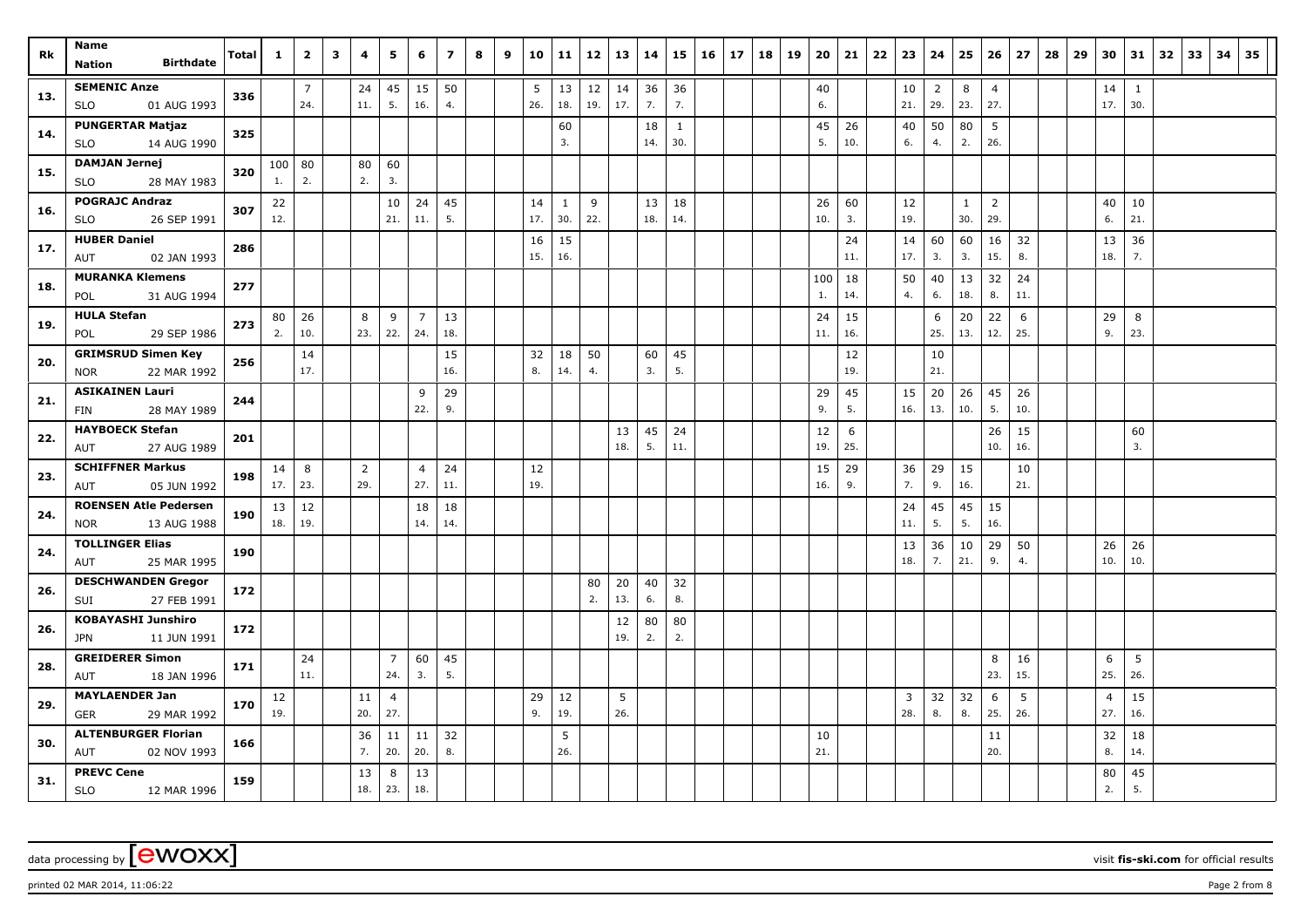|     | Name                         |       |              |                |   |                |                |                | $\overline{ }$ |   |   |     |              |        |     |     |              |    |    |    |    |     |     |    |     |                |     |                |     |    |    |                |              |    |    |    | 35 |
|-----|------------------------------|-------|--------------|----------------|---|----------------|----------------|----------------|----------------|---|---|-----|--------------|--------|-----|-----|--------------|----|----|----|----|-----|-----|----|-----|----------------|-----|----------------|-----|----|----|----------------|--------------|----|----|----|----|
| Rk  | <b>Birthdate</b><br>Nation   | Total | $\mathbf{1}$ | $\overline{2}$ | 3 | 4              | 5              | 6              |                | 8 | 9 | 10  | 11           | 12     | 13  | 14  | 15           | 16 | 17 | 18 | 19 | 20  | 21  | 22 | 23  | 24             | 25  | 26             | 27  | 28 | 29 | 30             | 31           | 32 | 33 | 34 |    |
|     | <b>SEMENIC Anze</b>          |       |              | $\overline{7}$ |   | 24             | 45             | 15             | 50             |   |   | 5   | 13           | $12\,$ | 14  | 36  | 36           |    |    |    |    | 40  |     |    | 10  | $\overline{2}$ | 8   | $\overline{4}$ |     |    |    | 14             | $\mathbf{1}$ |    |    |    |    |
| 13. | <b>SLO</b><br>01 AUG 1993    | 336   |              | 24.            |   | 11.            | 5.             | 16.            | 4.             |   |   | 26. | 18.          | 19.    | 17. | 7.  | 7.           |    |    |    |    | 6.  |     |    | 21. | 29.            | 23. | 27.            |     |    |    | 17.            | 30.          |    |    |    |    |
|     | <b>PUNGERTAR Matjaz</b>      |       |              |                |   |                |                |                |                |   |   |     | 60           |        |     | 18  | $\mathbf{1}$ |    |    |    |    | 45  | 26  |    | 40  | 50             | 80  | 5              |     |    |    |                |              |    |    |    |    |
| 14. | <b>SLO</b><br>14 AUG 1990    | 325   |              |                |   |                |                |                |                |   |   |     | 3.           |        |     | 14. | 30.          |    |    |    |    | 5.  | 10. |    | 6.  | 4.             | 2.  | 26.            |     |    |    |                |              |    |    |    |    |
|     | <b>DAMJAN Jernej</b>         |       |              | 100   80       |   | 80             | 60             |                |                |   |   |     |              |        |     |     |              |    |    |    |    |     |     |    |     |                |     |                |     |    |    |                |              |    |    |    |    |
| 15. | <b>SLO</b><br>28 MAY 1983    | 320   | 1.           | 2.             |   | 2.             | 3.             |                |                |   |   |     |              |        |     |     |              |    |    |    |    |     |     |    |     |                |     |                |     |    |    |                |              |    |    |    |    |
| 16. | <b>POGRAJC Andraz</b>        | 307   | 22           |                |   |                | 10             | 24             | 45             |   |   | 14  | $\mathbf{1}$ | 9      |     | 13  | 18           |    |    |    |    | 26  | 60  |    | 12  |                | 1   | 2              |     |    |    | 40             | 10           |    |    |    |    |
|     | 26 SEP 1991<br><b>SLO</b>    |       | 12.          |                |   |                | 21.            | 11.            | 5.             |   |   | 17. | 30.          | 22.    |     | 18. | 14.          |    |    |    |    | 10. | 3.  |    | 19. |                | 30. | 29.            |     |    |    | 6.             | 21.          |    |    |    |    |
| 17. | <b>HUBER Daniel</b>          | 286   |              |                |   |                |                |                |                |   |   | 16  | 15           |        |     |     |              |    |    |    |    |     | 24  |    | 14  | 60             | 60  | 16             | 32  |    |    | 13             | 36           |    |    |    |    |
|     | 02 JAN 1993<br>AUT           |       |              |                |   |                |                |                |                |   |   | 15. | 16.          |        |     |     |              |    |    |    |    |     | 11. |    | 17. | 3.             | 3.  | 15.            | 8.  |    |    | 18.            | 7.           |    |    |    |    |
| 18. | <b>MURANKA Klemens</b>       | 277   |              |                |   |                |                |                |                |   |   |     |              |        |     |     |              |    |    |    |    | 100 | 18  |    | 50  | 40             | 13  | 32             | 24  |    |    |                |              |    |    |    |    |
|     | 31 AUG 1994<br>POL           |       |              |                |   |                |                |                |                |   |   |     |              |        |     |     |              |    |    |    |    | 1.  | 14. |    | 4.  | 6.             | 18. | 8.             | 11. |    |    |                |              |    |    |    |    |
| 19. | <b>HULA Stefan</b>           | 273   | 80           | 26             |   | 8              | -9             | $\overline{7}$ | 13             |   |   |     |              |        |     |     |              |    |    |    |    | 24  | 15  |    |     | 6              | 20  | 22             | 6   |    |    | 29             | 8            |    |    |    |    |
|     | 29 SEP 1986<br>POL           |       | 2.           | 10.            |   | 23.            | 22.            | 24.            | 18.            |   |   |     |              |        |     |     |              |    |    |    |    | 11. | 16. |    |     | 25.            | 13. | 12.            | 25. |    |    | 9.             | 23.          |    |    |    |    |
| 20. | <b>GRIMSRUD Simen Key</b>    | 256   |              | 14             |   |                |                |                | 15             |   |   | 32  | 18           | 50     |     | 60  | 45           |    |    |    |    |     | 12  |    |     | 10             |     |                |     |    |    |                |              |    |    |    |    |
|     | 22 MAR 1992<br><b>NOR</b>    |       |              | 17.            |   |                |                |                | 16.            |   |   | 8.  | 14.          | 4.     |     | 3.  | 5.           |    |    |    |    |     | 19. |    |     | 21.            |     |                |     |    |    |                |              |    |    |    |    |
| 21. | <b>ASIKAINEN Lauri</b>       | 244   |              |                |   |                |                | 9              | 29             |   |   |     |              |        |     |     |              |    |    |    |    | 29  | 45  |    | 15  | 20             | 26  | 45             | 26  |    |    |                |              |    |    |    |    |
|     | 28 MAY 1989<br>FIN           |       |              |                |   |                |                | 22.            | 9.             |   |   |     |              |        |     |     |              |    |    |    |    | 9.  | 5.  |    | 16. | 13.            | 10. | 5.             | 10. |    |    |                |              |    |    |    |    |
| 22. | <b>HAYBOECK Stefan</b>       | 201   |              |                |   |                |                |                |                |   |   |     |              |        | 13  | 45  | 24           |    |    |    |    | 12  | 6   |    |     |                |     | 26             | 15  |    |    |                | 60           |    |    |    |    |
|     | 27 AUG 1989<br>AUT           |       |              |                |   |                |                |                |                |   |   |     |              |        | 18. | 5.  | 11.          |    |    |    |    | 19. | 25. |    |     |                |     | 10.            | 16. |    |    |                | 3.           |    |    |    |    |
| 23. | <b>SCHIFFNER Markus</b>      | 198   | 14           | 8              |   | $\overline{2}$ |                | $\overline{4}$ | 24             |   |   | 12  |              |        |     |     |              |    |    |    |    | 15  | 29  |    | 36  | 29             | 15  |                | 10  |    |    |                |              |    |    |    |    |
|     | 05 JUN 1992<br><b>AUT</b>    |       | 17.          | 23.            |   | 29.            |                | 27.            | 11.            |   |   | 19. |              |        |     |     |              |    |    |    |    | 16. | 9.  |    | 7.  | 9.             | 16. |                | 21. |    |    |                |              |    |    |    |    |
| 24. | <b>ROENSEN Atle Pedersen</b> | 190   | 13           | 12             |   |                |                | 18             | 18             |   |   |     |              |        |     |     |              |    |    |    |    |     |     |    | 24  | 45             | 45  | 15             |     |    |    |                |              |    |    |    |    |
|     | 13 AUG 1988<br><b>NOR</b>    |       | 18.          | 19.            |   |                |                | 14.            | 14.            |   |   |     |              |        |     |     |              |    |    |    |    |     |     |    | 11. | 5.             | 5.  | 16.            |     |    |    |                |              |    |    |    |    |
| 24. | <b>TOLLINGER Elias</b>       | 190   |              |                |   |                |                |                |                |   |   |     |              |        |     |     |              |    |    |    |    |     |     |    | 13  | 36             | 10  | 29             | 50  |    |    | 26             | 26           |    |    |    |    |
|     | 25 MAR 1995<br>AUT           |       |              |                |   |                |                |                |                |   |   |     |              |        |     |     |              |    |    |    |    |     |     |    | 18. | 7.             | 21. | 9.             | 4.  |    |    | 10.            | 10.          |    |    |    |    |
| 26. | <b>DESCHWANDEN Gregor</b>    | 172   |              |                |   |                |                |                |                |   |   |     |              | 80     | 20  | 40  | 32           |    |    |    |    |     |     |    |     |                |     |                |     |    |    |                |              |    |    |    |    |
|     | 27 FEB 1991<br>SUI           |       |              |                |   |                |                |                |                |   |   |     |              | 2.     | 13. | 6.  | 8.           |    |    |    |    |     |     |    |     |                |     |                |     |    |    |                |              |    |    |    |    |
| 26. | <b>KOBAYASHI Junshiro</b>    | 172   |              |                |   |                |                |                |                |   |   |     |              |        | 12  | 80  | 80           |    |    |    |    |     |     |    |     |                |     |                |     |    |    |                |              |    |    |    |    |
|     | 11 JUN 1991<br>JPN           |       |              |                |   |                |                |                |                |   |   |     |              |        | 19. | 2.  | 2.           |    |    |    |    |     |     |    |     |                |     |                |     |    |    |                |              |    |    |    |    |
| 28. | <b>GREIDERER Simon</b>       | 171   |              | 24             |   |                | 7              | 60             | 45             |   |   |     |              |        |     |     |              |    |    |    |    |     |     |    |     |                |     | 8              | 16  |    |    | 6              | 5            |    |    |    |    |
|     | <b>AUT</b><br>18 JAN 1996    |       |              | 11.            |   |                | 24.            | 3.             | 5.             |   |   |     |              |        |     |     |              |    |    |    |    |     |     |    |     |                |     | 23.            | 15. |    |    | 25.            | 26.          |    |    |    |    |
| 29. | <b>MAYLAENDER Jan</b>        | 170   | 12           |                |   | 11             | $\overline{4}$ |                |                |   |   | 29  | 12           |        | 5   |     |              |    |    |    |    |     |     |    | 3   | 32             | 32  | 6              | 5   |    |    | $\overline{4}$ | 15           |    |    |    |    |
|     | GER<br>29 MAR 1992           |       | 19.          |                |   | 20.            | 27.            |                |                |   |   | 9.  | 19.          |        | 26. |     |              |    |    |    |    |     |     |    | 28. | 8.             | 8.  | 25.            | 26. |    |    | 27.            | 16.          |    |    |    |    |
| 30. | <b>ALTENBURGER Florian</b>   | 166   |              |                |   | 36             | 11             | 11             | 32             |   |   |     | 5            |        |     |     |              |    |    |    |    | 10  |     |    |     |                |     | 11             |     |    |    | 32             | 18           |    |    |    |    |
|     | 02 NOV 1993<br>AUT           |       |              |                |   | 7.             | 20.            | 20.            | 8.             |   |   |     | 26.          |        |     |     |              |    |    |    |    | 21. |     |    |     |                |     | 20.            |     |    |    | 8.             | 14.          |    |    |    |    |
| 31. | <b>PREVC Cene</b>            | 159   |              |                |   | 13             | 8              | 13             |                |   |   |     |              |        |     |     |              |    |    |    |    |     |     |    |     |                |     |                |     |    |    | 80             | 45           |    |    |    |    |
|     | <b>SLO</b><br>12 MAR 1996    |       |              |                |   | 18.            | 23.            | 18.            |                |   |   |     |              |        |     |     |              |    |    |    |    |     |     |    |     |                |     |                |     |    |    | 2.             | 5.           |    |    |    |    |

data processing by **CWOXX** wisit **fis-ski.com** for official results

printed 02 MAR 2014, 11:06:22 **Page 2** from 8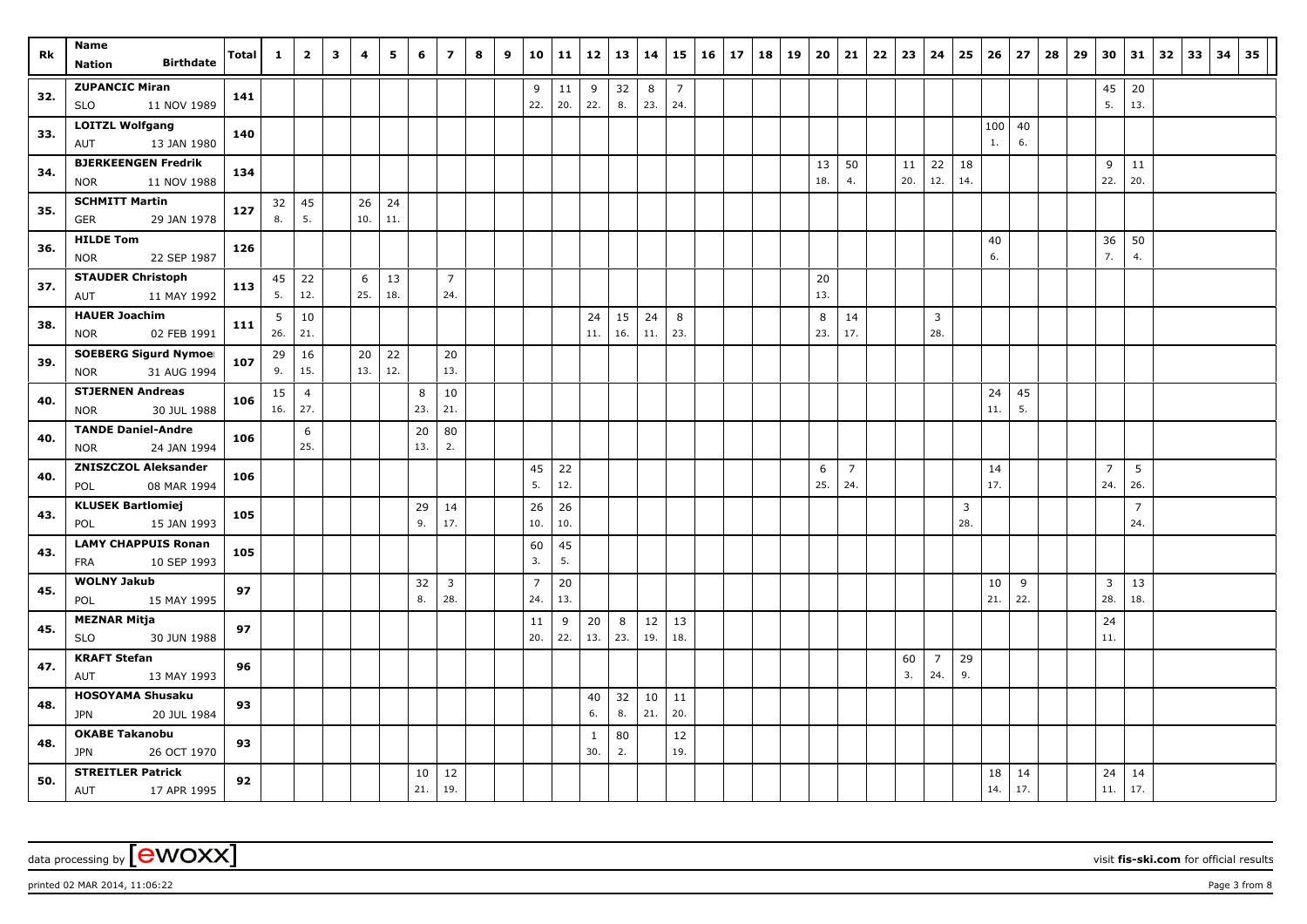|     | Name                                              |       |          |                |              |          |           |     |                       |   |   |                |          |              |           |           |                |    |    |    |    |           |                |    |          |                       |          |     |     |    |    |                |                |    |    |    |    |
|-----|---------------------------------------------------|-------|----------|----------------|--------------|----------|-----------|-----|-----------------------|---|---|----------------|----------|--------------|-----------|-----------|----------------|----|----|----|----|-----------|----------------|----|----------|-----------------------|----------|-----|-----|----|----|----------------|----------------|----|----|----|----|
| Rk  | <b>Birthdate</b><br><b>Nation</b>                 | Total | 1        | $\overline{2}$ | $\mathbf{3}$ | 4        | 5         | 6   | $\overline{ }$        | 8 | 9 | 10             | 11       | 12           | 13        | 14        | 15             | 16 | 17 | 18 | 19 | 20        | 21             | 22 | 23       | 24                    | 25       | 26  | 27  | 28 | 29 | 30             | 31             | 32 | 33 | 34 | 35 |
|     | <b>ZUPANCIC Miran</b>                             |       |          |                |              |          |           |     |                       |   |   | 9              | 11       | 9            | 32        | 8         | $\overline{7}$ |    |    |    |    |           |                |    |          |                       |          |     |     |    |    | 45             | 20             |    |    |    |    |
| 32. | 11 NOV 1989<br><b>SLO</b>                         | 141   |          |                |              |          |           |     |                       |   |   | 22.            | 20.      | 22.          | 8.        | 23.       | 24.            |    |    |    |    |           |                |    |          |                       |          |     |     |    |    | 5.             | 13.            |    |    |    |    |
| 33. | <b>LOITZL Wolfgang</b>                            | 140   |          |                |              |          |           |     |                       |   |   |                |          |              |           |           |                |    |    |    |    |           |                |    |          |                       |          | 100 | 40  |    |    |                |                |    |    |    |    |
|     | 13 JAN 1980<br>AUT                                |       |          |                |              |          |           |     |                       |   |   |                |          |              |           |           |                |    |    |    |    |           |                |    |          |                       |          | 1.  | 6.  |    |    |                |                |    |    |    |    |
| 34. | <b>BJERKEENGEN Fredrik</b>                        | 134   |          |                |              |          |           |     |                       |   |   |                |          |              |           |           |                |    |    |    |    | 13        | 50             |    | 11       | 22                    | 18       |     |     |    |    | 9              | 11             |    |    |    |    |
|     | 11 NOV 1988<br><b>NOR</b>                         |       |          |                |              |          |           |     |                       |   |   |                |          |              |           |           |                |    |    |    |    | 18.       | 4.             |    | 20.      | 12.                   | 14.      |     |     |    |    | 22.            | 20.            |    |    |    |    |
| 35. | <b>SCHMITT Martin</b>                             | 127   | 32       | 45             |              | 26       | 24        |     |                       |   |   |                |          |              |           |           |                |    |    |    |    |           |                |    |          |                       |          |     |     |    |    |                |                |    |    |    |    |
|     | <b>GER</b><br>29 JAN 1978                         |       | 8.       | 5.             |              | 10.      | 11.       |     |                       |   |   |                |          |              |           |           |                |    |    |    |    |           |                |    |          |                       |          |     |     |    |    |                |                |    |    |    |    |
| 36. | <b>HILDE Tom</b>                                  | 126   |          |                |              |          |           |     |                       |   |   |                |          |              |           |           |                |    |    |    |    |           |                |    |          |                       |          | 40  |     |    |    | 36             | 50             |    |    |    |    |
|     | 22 SEP 1987<br><b>NOR</b>                         |       |          |                |              |          |           |     |                       |   |   |                |          |              |           |           |                |    |    |    |    |           |                |    |          |                       |          | 6.  |     |    |    | 7.             | 4.             |    |    |    |    |
| 37. | <b>STAUDER Christoph</b>                          | 113   | 45<br>5. | 22             |              | 6<br>25. | 13<br>18. |     | $\overline{7}$<br>24. |   |   |                |          |              |           |           |                |    |    |    |    | 20<br>13. |                |    |          |                       |          |     |     |    |    |                |                |    |    |    |    |
|     | 11 MAY 1992<br>AUT                                |       |          | 12.            |              |          |           |     |                       |   |   |                |          |              |           |           |                |    |    |    |    |           |                |    |          |                       |          |     |     |    |    |                |                |    |    |    |    |
| 38. | <b>HAUER Joachim</b><br>02 FEB 1991<br><b>NOR</b> | 111   | 5<br>26. | 10<br>21.      |              |          |           |     |                       |   |   |                |          | 24<br>11.    | 15<br>16. | 24<br>11. | 8<br>23.       |    |    |    |    | 8<br>23.  | 14<br>17.      |    |          | 3<br>28.              |          |     |     |    |    |                |                |    |    |    |    |
|     | <b>SOEBERG Sigurd Nymoel</b>                      |       |          |                |              | 20       | 22        |     | 20                    |   |   |                |          |              |           |           |                |    |    |    |    |           |                |    |          |                       |          |     |     |    |    |                |                |    |    |    |    |
| 39. | 31 AUG 1994<br><b>NOR</b>                         | 107   | 29<br>9. | 16<br>15.      |              | 13.      | 12.       |     | 13.                   |   |   |                |          |              |           |           |                |    |    |    |    |           |                |    |          |                       |          |     |     |    |    |                |                |    |    |    |    |
|     | <b>STJERNEN Andreas</b>                           |       | 15       | $\overline{4}$ |              |          |           | 8   | 10                    |   |   |                |          |              |           |           |                |    |    |    |    |           |                |    |          |                       |          | 24  | 45  |    |    |                |                |    |    |    |    |
| 40. | <b>NOR</b><br>30 JUL 1988                         | 106   | 16.      | 27.            |              |          |           | 23. | 21.                   |   |   |                |          |              |           |           |                |    |    |    |    |           |                |    |          |                       |          | 11. | 5.  |    |    |                |                |    |    |    |    |
|     | <b>TANDE Daniel-Andre</b>                         |       |          | 6              |              |          |           | 20  | 80                    |   |   |                |          |              |           |           |                |    |    |    |    |           |                |    |          |                       |          |     |     |    |    |                |                |    |    |    |    |
| 40. | 24 JAN 1994<br><b>NOR</b>                         | 106   |          | 25.            |              |          |           | 13. | 2.                    |   |   |                |          |              |           |           |                |    |    |    |    |           |                |    |          |                       |          |     |     |    |    |                |                |    |    |    |    |
| 40. | <b>ZNISZCZOL Aleksander</b>                       | 106   |          |                |              |          |           |     |                       |   |   | 45             | 22       |              |           |           |                |    |    |    |    | 6         | $\overline{7}$ |    |          |                       |          | 14  |     |    |    | $\overline{7}$ | 5              |    |    |    |    |
|     | 08 MAR 1994<br>POL                                |       |          |                |              |          |           |     |                       |   |   | 5.             | 12.      |              |           |           |                |    |    |    |    | 25.       | 24.            |    |          |                       |          | 17. |     |    |    | 24.            | 26.            |    |    |    |    |
| 43. | <b>KLUSEK Bartlomiej</b>                          | 105   |          |                |              |          |           | 29  | 14                    |   |   | 26             | 26       |              |           |           |                |    |    |    |    |           |                |    |          |                       | 3        |     |     |    |    |                | $\overline{7}$ |    |    |    |    |
|     | POL<br>15 JAN 1993                                |       |          |                |              |          |           | 9.  | 17.                   |   |   | 10.            | 10.      |              |           |           |                |    |    |    |    |           |                |    |          |                       | 28.      |     |     |    |    |                | 24.            |    |    |    |    |
| 43. | <b>LAMY CHAPPUIS Ronan</b>                        | 105   |          |                |              |          |           |     |                       |   |   | 60             | 45       |              |           |           |                |    |    |    |    |           |                |    |          |                       |          |     |     |    |    |                |                |    |    |    |    |
|     | 10 SEP 1993<br><b>FRA</b>                         |       |          |                |              |          |           |     |                       |   |   | 3.             | 5.       |              |           |           |                |    |    |    |    |           |                |    |          |                       |          |     |     |    |    |                |                |    |    |    |    |
| 45. | <b>WOLNY Jakub</b>                                | 97    |          |                |              |          |           | 32  | $\mathbf{3}$          |   |   | $\overline{7}$ | 20       |              |           |           |                |    |    |    |    |           |                |    |          |                       |          | 10  | 9   |    |    | 3              | 13             |    |    |    |    |
|     | POL<br>15 MAY 1995                                |       |          |                |              |          |           | 8.  | 28.                   |   |   | 24.            | 13.      |              |           |           |                |    |    |    |    |           |                |    |          |                       |          | 21. | 22. |    |    | 28.            | 18.            |    |    |    |    |
| 45. | <b>MEZNAR Mitja</b><br>30 JUN 1988                | 97    |          |                |              |          |           |     |                       |   |   | 11<br>20.      | 9<br>22. | 20<br>13.    | 8<br>23.  | 12<br>19. | 13<br>18.      |    |    |    |    |           |                |    |          |                       |          |     |     |    |    | 24<br>11.      |                |    |    |    |    |
|     | <b>SLO</b><br><b>KRAFT Stefan</b>                 |       |          |                |              |          |           |     |                       |   |   |                |          |              |           |           |                |    |    |    |    |           |                |    |          |                       |          |     |     |    |    |                |                |    |    |    |    |
| 47. | AUT<br>13 MAY 1993                                | 96    |          |                |              |          |           |     |                       |   |   |                |          |              |           |           |                |    |    |    |    |           |                |    | 60<br>3. | $\overline{7}$<br>24. | 29<br>9. |     |     |    |    |                |                |    |    |    |    |
|     | <b>HOSOYAMA Shusaku</b>                           |       |          |                |              |          |           |     |                       |   |   |                |          | 40           | 32        | 10        | 11             |    |    |    |    |           |                |    |          |                       |          |     |     |    |    |                |                |    |    |    |    |
| 48. | JPN<br>20 JUL 1984                                | 93    |          |                |              |          |           |     |                       |   |   |                |          | 6.           | 8.        | 21.       | 20.            |    |    |    |    |           |                |    |          |                       |          |     |     |    |    |                |                |    |    |    |    |
|     | <b>OKABE Takanobu</b>                             |       |          |                |              |          |           |     |                       |   |   |                |          | $\mathbf{1}$ | 80        |           | 12             |    |    |    |    |           |                |    |          |                       |          |     |     |    |    |                |                |    |    |    |    |
| 48. | 26 OCT 1970<br>JPN                                | 93    |          |                |              |          |           |     |                       |   |   |                |          | 30.          | 2.        |           | 19.            |    |    |    |    |           |                |    |          |                       |          |     |     |    |    |                |                |    |    |    |    |
|     | <b>STREITLER Patrick</b>                          |       |          |                |              |          |           | 10  | 12                    |   |   |                |          |              |           |           |                |    |    |    |    |           |                |    |          |                       |          | 18  | 14  |    |    | 24             | 14             |    |    |    |    |
| 50. | AUT<br>17 APR 1995                                | 92    |          |                |              |          |           | 21. | 19.                   |   |   |                |          |              |           |           |                |    |    |    |    |           |                |    |          |                       |          | 14. | 17. |    |    | 11.            | 17.            |    |    |    |    |

data processing by **CWOXX** wisit **fis-ski.com** for official results

printed 02 MAR 2014, 11:06:22 **Page 3** from 8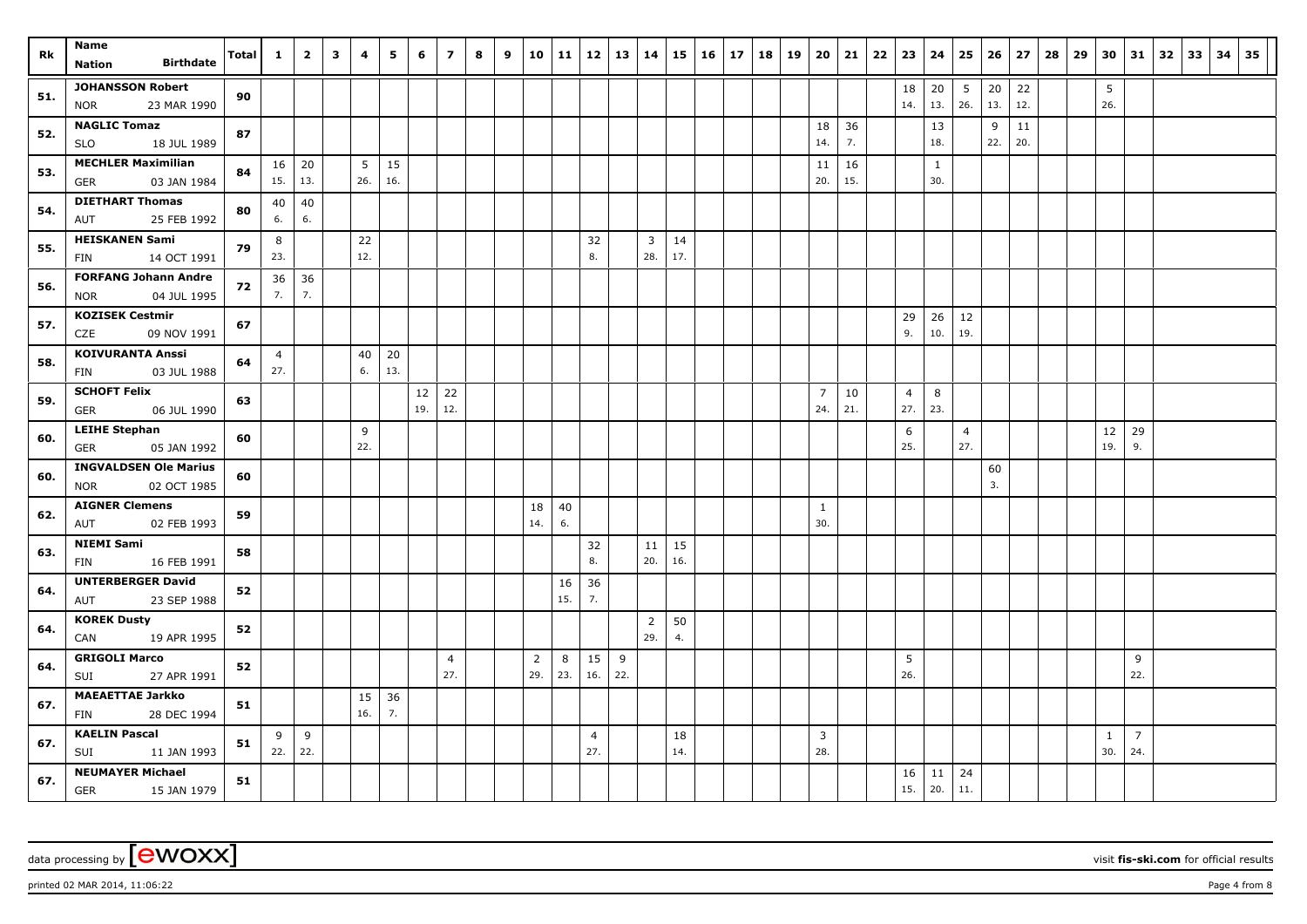| Rk  | Name                                                   | Total | $\mathbf{1}$          | $\overline{2}$ | $\overline{\mathbf{3}}$ | 4        | 5         | 6         | $\overline{ }$ | 8 | 9 | 10             | 11        | 12             | 13  | 14             | 15  | 16 | 17 | 18 | 19 | 20 <sub>1</sub>       | 21        | 22 | 23                    | 24                  | 25             | 26  | 27  | 28 | 29 | 30           | 31             | 32 | 33 | 34 | 35 |
|-----|--------------------------------------------------------|-------|-----------------------|----------------|-------------------------|----------|-----------|-----------|----------------|---|---|----------------|-----------|----------------|-----|----------------|-----|----|----|----|----|-----------------------|-----------|----|-----------------------|---------------------|----------------|-----|-----|----|----|--------------|----------------|----|----|----|----|
|     | <b>Birthdate</b><br><b>Nation</b>                      |       |                       |                |                         |          |           |           |                |   |   |                |           |                |     |                |     |    |    |    |    |                       |           |    |                       |                     |                |     |     |    |    |              |                |    |    |    |    |
| 51. | <b>JOHANSSON Robert</b>                                | 90    |                       |                |                         |          |           |           |                |   |   |                |           |                |     |                |     |    |    |    |    |                       |           |    | 18                    | 20                  | 5              | 20  | 22  |    |    | 5            |                |    |    |    |    |
|     | 23 MAR 1990<br><b>NOR</b>                              |       |                       |                |                         |          |           |           |                |   |   |                |           |                |     |                |     |    |    |    |    |                       |           |    | 14.                   | 13.                 | 26.            | 13. | 12. |    |    | 26.          |                |    |    |    |    |
| 52. | <b>NAGLIC Tomaz</b>                                    | 87    |                       |                |                         |          |           |           |                |   |   |                |           |                |     |                |     |    |    |    |    | 18                    | 36        |    |                       | 13                  |                | 9   | 11  |    |    |              |                |    |    |    |    |
|     | <b>SLO</b><br>18 JUL 1989                              |       |                       |                |                         |          |           |           |                |   |   |                |           |                |     |                |     |    |    |    |    | 14.                   | 7.        |    |                       | 18.                 |                | 22. | 20. |    |    |              |                |    |    |    |    |
| 53. | <b>MECHLER Maximilian</b><br><b>GER</b><br>03 JAN 1984 | 84    | 16<br>15.             | 20<br>13.      |                         | 5<br>26. | 15<br>16. |           |                |   |   |                |           |                |     |                |     |    |    |    |    | 11<br>20.             | 16<br>15. |    |                       | $\mathbf{1}$<br>30. |                |     |     |    |    |              |                |    |    |    |    |
|     | <b>DIETHART Thomas</b>                                 |       | 40                    | 40             |                         |          |           |           |                |   |   |                |           |                |     |                |     |    |    |    |    |                       |           |    |                       |                     |                |     |     |    |    |              |                |    |    |    |    |
| 54. | 25 FEB 1992<br>AUT                                     | 80    | 6.                    | 6.             |                         |          |           |           |                |   |   |                |           |                |     |                |     |    |    |    |    |                       |           |    |                       |                     |                |     |     |    |    |              |                |    |    |    |    |
| 55. | <b>HEISKANEN Sami</b>                                  | 79    | 8                     |                |                         | 22       |           |           |                |   |   |                |           | 32             |     | 3              | 14  |    |    |    |    |                       |           |    |                       |                     |                |     |     |    |    |              |                |    |    |    |    |
|     | <b>FIN</b><br>14 OCT 1991                              |       | 23.                   |                |                         | 12.      |           |           |                |   |   |                |           | 8.             |     | 28.            | 17. |    |    |    |    |                       |           |    |                       |                     |                |     |     |    |    |              |                |    |    |    |    |
| 56. | <b>FORFANG Johann Andre</b>                            | 72    | 36                    | 36             |                         |          |           |           |                |   |   |                |           |                |     |                |     |    |    |    |    |                       |           |    |                       |                     |                |     |     |    |    |              |                |    |    |    |    |
|     | <b>NOR</b><br>04 JUL 1995                              |       | 7.                    | 7.             |                         |          |           |           |                |   |   |                |           |                |     |                |     |    |    |    |    |                       |           |    |                       |                     |                |     |     |    |    |              |                |    |    |    |    |
| 57. | <b>KOZISEK Cestmir</b>                                 | 67    |                       |                |                         |          |           |           |                |   |   |                |           |                |     |                |     |    |    |    |    |                       |           |    | 29                    | 26                  | 12             |     |     |    |    |              |                |    |    |    |    |
|     | CZE<br>09 NOV 1991                                     |       |                       |                |                         |          |           |           |                |   |   |                |           |                |     |                |     |    |    |    |    |                       |           |    | 9.                    | 10.                 | 19.            |     |     |    |    |              |                |    |    |    |    |
| 58. | <b>KOIVURANTA Anssi</b><br>03 JUL 1988                 | 64    | $\overline{4}$<br>27. |                |                         | 40<br>6. | 20<br>13. |           |                |   |   |                |           |                |     |                |     |    |    |    |    |                       |           |    |                       |                     |                |     |     |    |    |              |                |    |    |    |    |
|     | FIN<br><b>SCHOFT Felix</b>                             |       |                       |                |                         |          |           |           | 22             |   |   |                |           |                |     |                |     |    |    |    |    |                       |           |    |                       |                     |                |     |     |    |    |              |                |    |    |    |    |
| 59. | <b>GER</b><br>06 JUL 1990                              | 63    |                       |                |                         |          |           | 12<br>19. | 12.            |   |   |                |           |                |     |                |     |    |    |    |    | $\overline{7}$<br>24. | 10<br>21. |    | $\overline{4}$<br>27. | 8<br>23.            |                |     |     |    |    |              |                |    |    |    |    |
|     | <b>LEIHE Stephan</b>                                   |       |                       |                |                         | 9        |           |           |                |   |   |                |           |                |     |                |     |    |    |    |    |                       |           |    | 6                     |                     | $\overline{4}$ |     |     |    |    | 12           | 29             |    |    |    |    |
| 60. | <b>GER</b><br>05 JAN 1992                              | 60    |                       |                |                         | 22.      |           |           |                |   |   |                |           |                |     |                |     |    |    |    |    |                       |           |    | 25.                   |                     | 27.            |     |     |    |    | 19.          | 9.             |    |    |    |    |
|     | <b>INGVALDSEN Ole Marius</b>                           |       |                       |                |                         |          |           |           |                |   |   |                |           |                |     |                |     |    |    |    |    |                       |           |    |                       |                     |                | 60  |     |    |    |              |                |    |    |    |    |
| 60. | <b>NOR</b><br>02 OCT 1985                              | 60    |                       |                |                         |          |           |           |                |   |   |                |           |                |     |                |     |    |    |    |    |                       |           |    |                       |                     |                | 3.  |     |    |    |              |                |    |    |    |    |
| 62. | <b>AIGNER Clemens</b>                                  | 59    |                       |                |                         |          |           |           |                |   |   | 18             | 40        |                |     |                |     |    |    |    |    | $\mathbf{1}$          |           |    |                       |                     |                |     |     |    |    |              |                |    |    |    |    |
|     | 02 FEB 1993<br>AUT                                     |       |                       |                |                         |          |           |           |                |   |   | 14.            | 6.        |                |     |                |     |    |    |    |    | 30.                   |           |    |                       |                     |                |     |     |    |    |              |                |    |    |    |    |
| 63. | <b>NIEMI Sami</b>                                      | 58    |                       |                |                         |          |           |           |                |   |   |                |           | 32             |     | 11             | 15  |    |    |    |    |                       |           |    |                       |                     |                |     |     |    |    |              |                |    |    |    |    |
|     | 16 FEB 1991<br>FIN                                     |       |                       |                |                         |          |           |           |                |   |   |                |           | 8.             |     | 20.            | 16. |    |    |    |    |                       |           |    |                       |                     |                |     |     |    |    |              |                |    |    |    |    |
| 64. | <b>UNTERBERGER David</b><br>23 SEP 1988<br>AUT         | 52    |                       |                |                         |          |           |           |                |   |   |                | 16<br>15. | 36<br>7.       |     |                |     |    |    |    |    |                       |           |    |                       |                     |                |     |     |    |    |              |                |    |    |    |    |
|     | <b>KOREK Dusty</b>                                     |       |                       |                |                         |          |           |           |                |   |   |                |           |                |     | $\overline{2}$ | 50  |    |    |    |    |                       |           |    |                       |                     |                |     |     |    |    |              |                |    |    |    |    |
| 64. | 19 APR 1995<br>CAN                                     | 52    |                       |                |                         |          |           |           |                |   |   |                |           |                |     | 29.            | 4.  |    |    |    |    |                       |           |    |                       |                     |                |     |     |    |    |              |                |    |    |    |    |
|     | <b>GRIGOLI Marco</b>                                   |       |                       |                |                         |          |           |           | $\overline{4}$ |   |   | $\overline{2}$ | 8         | 15             | 9   |                |     |    |    |    |    |                       |           |    | 5                     |                     |                |     |     |    |    |              | 9              |    |    |    |    |
| 64. | SUI<br>27 APR 1991                                     | 52    |                       |                |                         |          |           |           | 27.            |   |   | 29.            | 23.       | 16.            | 22. |                |     |    |    |    |    |                       |           |    | 26.                   |                     |                |     |     |    |    |              | 22.            |    |    |    |    |
| 67. | <b>MAEAETTAE Jarkko</b>                                | 51    |                       |                |                         | 15       | 36        |           |                |   |   |                |           |                |     |                |     |    |    |    |    |                       |           |    |                       |                     |                |     |     |    |    |              |                |    |    |    |    |
|     | 28 DEC 1994<br><b>FIN</b>                              |       |                       |                |                         | 16.      | 7.        |           |                |   |   |                |           |                |     |                |     |    |    |    |    |                       |           |    |                       |                     |                |     |     |    |    |              |                |    |    |    |    |
| 67. | <b>KAELIN Pascal</b>                                   | 51    | 9                     | 9              |                         |          |           |           |                |   |   |                |           | $\overline{4}$ |     |                | 18  |    |    |    |    | $\overline{3}$        |           |    |                       |                     |                |     |     |    |    | $\mathbf{1}$ | $\overline{7}$ |    |    |    |    |
|     | SUI<br>11 JAN 1993                                     |       | 22.                   | 22.            |                         |          |           |           |                |   |   |                |           | 27.            |     |                | 14. |    |    |    |    | 28.                   |           |    |                       |                     |                |     |     |    |    | 30.          | 24.            |    |    |    |    |
| 67. | <b>NEUMAYER Michael</b><br><b>GER</b><br>15 JAN 1979   | 51    |                       |                |                         |          |           |           |                |   |   |                |           |                |     |                |     |    |    |    |    |                       |           |    | 16<br>15.             | 11<br>20.           | 24<br>11.      |     |     |    |    |              |                |    |    |    |    |

printed 02 MAR 2014, 11:06:22 **Page 4 from 8** Page 4 from 8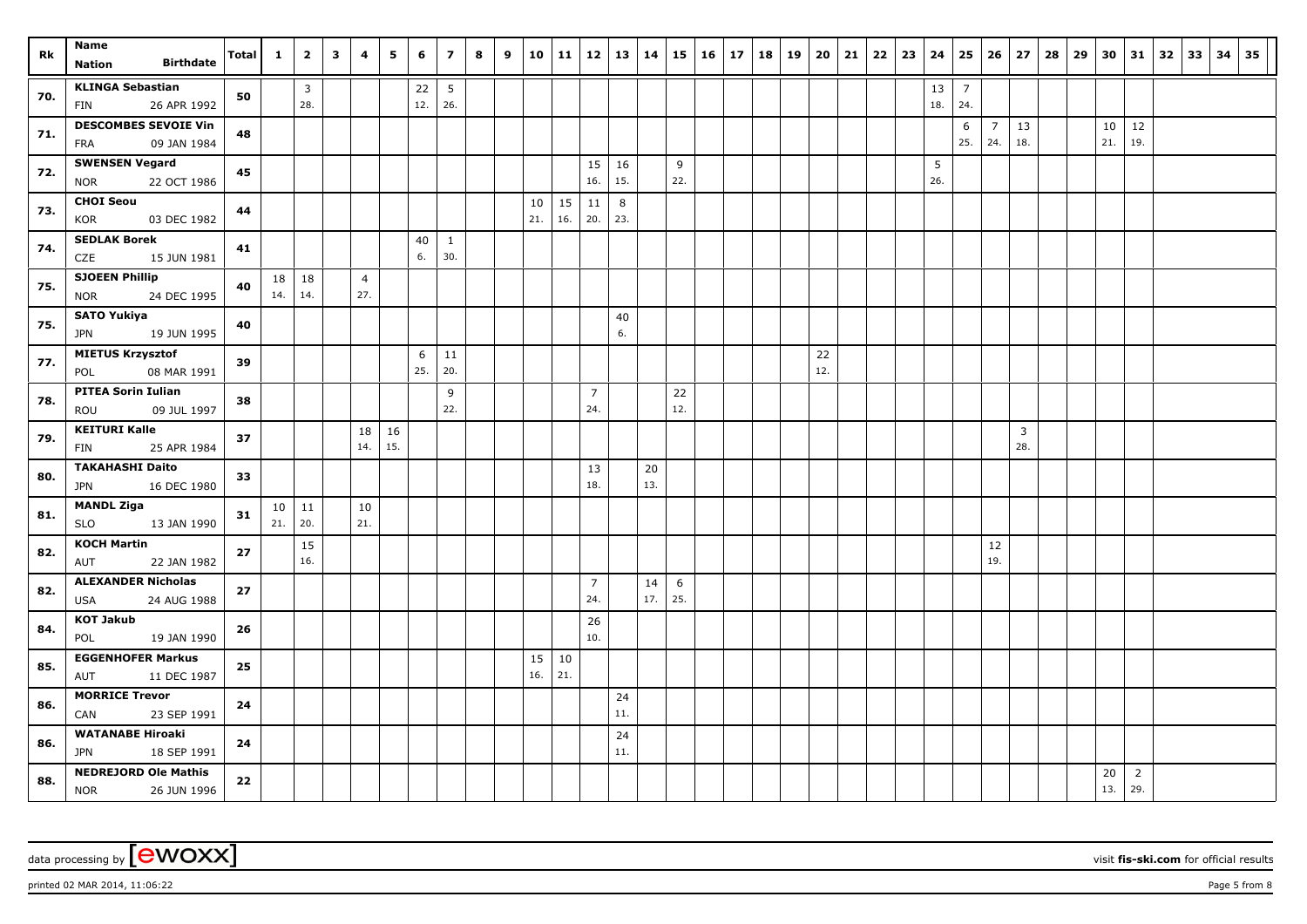|     | Name                                                     |       |                        |                       |              |                       | 5         | 6         | $\overline{\mathbf{z}}$ | 8 |   | 10        | $11 \mid 12$ |                       |              |           |           |              |    | 19 |           |    | 22 |    |           | 25                    | 26                    | 27                    | 28 | 29 |           | 31                    |    | 33 |    | 35 |
|-----|----------------------------------------------------------|-------|------------------------|-----------------------|--------------|-----------------------|-----------|-----------|-------------------------|---|---|-----------|--------------|-----------------------|--------------|-----------|-----------|--------------|----|----|-----------|----|----|----|-----------|-----------------------|-----------------------|-----------------------|----|----|-----------|-----------------------|----|----|----|----|
| Rk  | <b>Birthdate</b><br><b>Nation</b>                        | Total | $\mathbf{1}$           | $\overline{2}$        | $\mathbf{3}$ | 4                     |           |           |                         |   | 9 |           |              |                       | 13           | 14        | 15        | $16 \mid 17$ | 18 |    | 20        | 21 |    | 23 | 24        |                       |                       |                       |    |    | 30        |                       | 32 |    | 34 |    |
| 70. | <b>KLINGA Sebastian</b><br>26 APR 1992<br>FIN            | 50    |                        | $\overline{3}$<br>28. |              |                       |           | 22<br>12. | $5\overline{5}$<br>26.  |   |   |           |              |                       |              |           |           |              |    |    |           |    |    |    | 13<br>18. | $\overline{7}$<br>24. |                       |                       |    |    |           |                       |    |    |    |    |
| 71. | <b>DESCOMBES SEVOIE Vin</b><br>09 JAN 1984<br>FRA        | 48    |                        |                       |              |                       |           |           |                         |   |   |           |              |                       |              |           |           |              |    |    |           |    |    |    |           | 6<br>25.              | $\overline{7}$<br>24. | 13<br>18.             |    |    | 10<br>21. | 12<br>19.             |    |    |    |    |
| 72. | <b>SWENSEN Vegard</b><br>22 OCT 1986<br><b>NOR</b>       | 45    |                        |                       |              |                       |           |           |                         |   |   |           |              | 15<br>16.             | 16<br>15.    |           | 9<br>22.  |              |    |    |           |    |    |    | 5<br>26.  |                       |                       |                       |    |    |           |                       |    |    |    |    |
| 73. | <b>CHOI Seou</b><br><b>KOR</b><br>03 DEC 1982            | 44    |                        |                       |              |                       |           |           |                         |   |   | 10<br>21. | 15<br>16.    | 11<br>20.             | 8<br>23.     |           |           |              |    |    |           |    |    |    |           |                       |                       |                       |    |    |           |                       |    |    |    |    |
| 74. | <b>SEDLAK Borek</b><br><b>CZE</b><br>15 JUN 1981         | 41    |                        |                       |              |                       |           | 40<br>6.  | $\mathbf{1}$<br>30.     |   |   |           |              |                       |              |           |           |              |    |    |           |    |    |    |           |                       |                       |                       |    |    |           |                       |    |    |    |    |
| 75. | <b>SJOEEN Phillip</b><br><b>NOR</b><br>24 DEC 1995       | 40    | 18 <sup>1</sup><br>14. | 18<br>14.             |              | $\overline{4}$<br>27. |           |           |                         |   |   |           |              |                       |              |           |           |              |    |    |           |    |    |    |           |                       |                       |                       |    |    |           |                       |    |    |    |    |
| 75. | <b>SATO Yukiya</b><br>19 JUN 1995<br>JPN                 | 40    |                        |                       |              |                       |           |           |                         |   |   |           |              |                       | $40\,$<br>6. |           |           |              |    |    |           |    |    |    |           |                       |                       |                       |    |    |           |                       |    |    |    |    |
| 77. | <b>MIETUS Krzysztof</b><br>08 MAR 1991<br>POL            | 39    |                        |                       |              |                       |           | 6<br>25.  | 11<br>20.               |   |   |           |              |                       |              |           |           |              |    |    | 22<br>12. |    |    |    |           |                       |                       |                       |    |    |           |                       |    |    |    |    |
| 78. | <b>PITEA Sorin Iulian</b><br>09 JUL 1997<br>ROU          | 38    |                        |                       |              |                       |           |           | 9<br>22.                |   |   |           |              | $\overline{7}$<br>24. |              |           | 22<br>12. |              |    |    |           |    |    |    |           |                       |                       |                       |    |    |           |                       |    |    |    |    |
| 79. | <b>KEITURI Kalle</b><br>FIN<br>25 APR 1984               | 37    |                        |                       |              | 18<br>14.             | 16<br>15. |           |                         |   |   |           |              |                       |              |           |           |              |    |    |           |    |    |    |           |                       |                       | $\overline{3}$<br>28. |    |    |           |                       |    |    |    |    |
| 80. | <b>TAKAHASHI Daito</b><br>16 DEC 1980<br><b>JPN</b>      | 33    |                        |                       |              |                       |           |           |                         |   |   |           |              | 13<br>18.             |              | 20<br>13. |           |              |    |    |           |    |    |    |           |                       |                       |                       |    |    |           |                       |    |    |    |    |
| 81. | <b>MANDL Ziga</b><br><b>SLO</b><br>13 JAN 1990           | 31    | 21.                    | $10 \mid 11$<br>20.   |              | 10<br>21.             |           |           |                         |   |   |           |              |                       |              |           |           |              |    |    |           |    |    |    |           |                       |                       |                       |    |    |           |                       |    |    |    |    |
| 82. | <b>KOCH Martin</b><br>AUT<br>22 JAN 1982                 | 27    |                        | 15<br>16.             |              |                       |           |           |                         |   |   |           |              |                       |              |           |           |              |    |    |           |    |    |    |           |                       | 12<br>19.             |                       |    |    |           |                       |    |    |    |    |
| 82. | <b>ALEXANDER Nicholas</b><br>24 AUG 1988<br><b>USA</b>   | 27    |                        |                       |              |                       |           |           |                         |   |   |           |              | $\overline{7}$<br>24. |              | 14<br>17. | 6<br>25.  |              |    |    |           |    |    |    |           |                       |                       |                       |    |    |           |                       |    |    |    |    |
| 84. | <b>KOT Jakub</b><br>POL<br>19 JAN 1990                   | 26    |                        |                       |              |                       |           |           |                         |   |   |           |              | 26<br>10.             |              |           |           |              |    |    |           |    |    |    |           |                       |                       |                       |    |    |           |                       |    |    |    |    |
| 85. | <b>EGGENHOFER Markus</b><br>AUT<br>11 DEC 1987           | 25    |                        |                       |              |                       |           |           |                         |   |   | 15<br>16. | 10<br>21.    |                       |              |           |           |              |    |    |           |    |    |    |           |                       |                       |                       |    |    |           |                       |    |    |    |    |
| 86. | <b>MORRICE Trevor</b><br>23 SEP 1991<br>CAN              | 24    |                        |                       |              |                       |           |           |                         |   |   |           |              |                       | 24<br>11.    |           |           |              |    |    |           |    |    |    |           |                       |                       |                       |    |    |           |                       |    |    |    |    |
| 86. | <b>WATANABE Hiroaki</b><br>18 SEP 1991<br><b>JPN</b>     | 24    |                        |                       |              |                       |           |           |                         |   |   |           |              |                       | 24<br>11.    |           |           |              |    |    |           |    |    |    |           |                       |                       |                       |    |    |           |                       |    |    |    |    |
| 88. | <b>NEDREJORD Ole Mathis</b><br><b>NOR</b><br>26 JUN 1996 | 22    |                        |                       |              |                       |           |           |                         |   |   |           |              |                       |              |           |           |              |    |    |           |    |    |    |           |                       |                       |                       |    |    | 20<br>13. | $\overline{2}$<br>29. |    |    |    |    |

 $p$ rinted 02 MAR 2014, 11:06:22  $p = 5$  From 8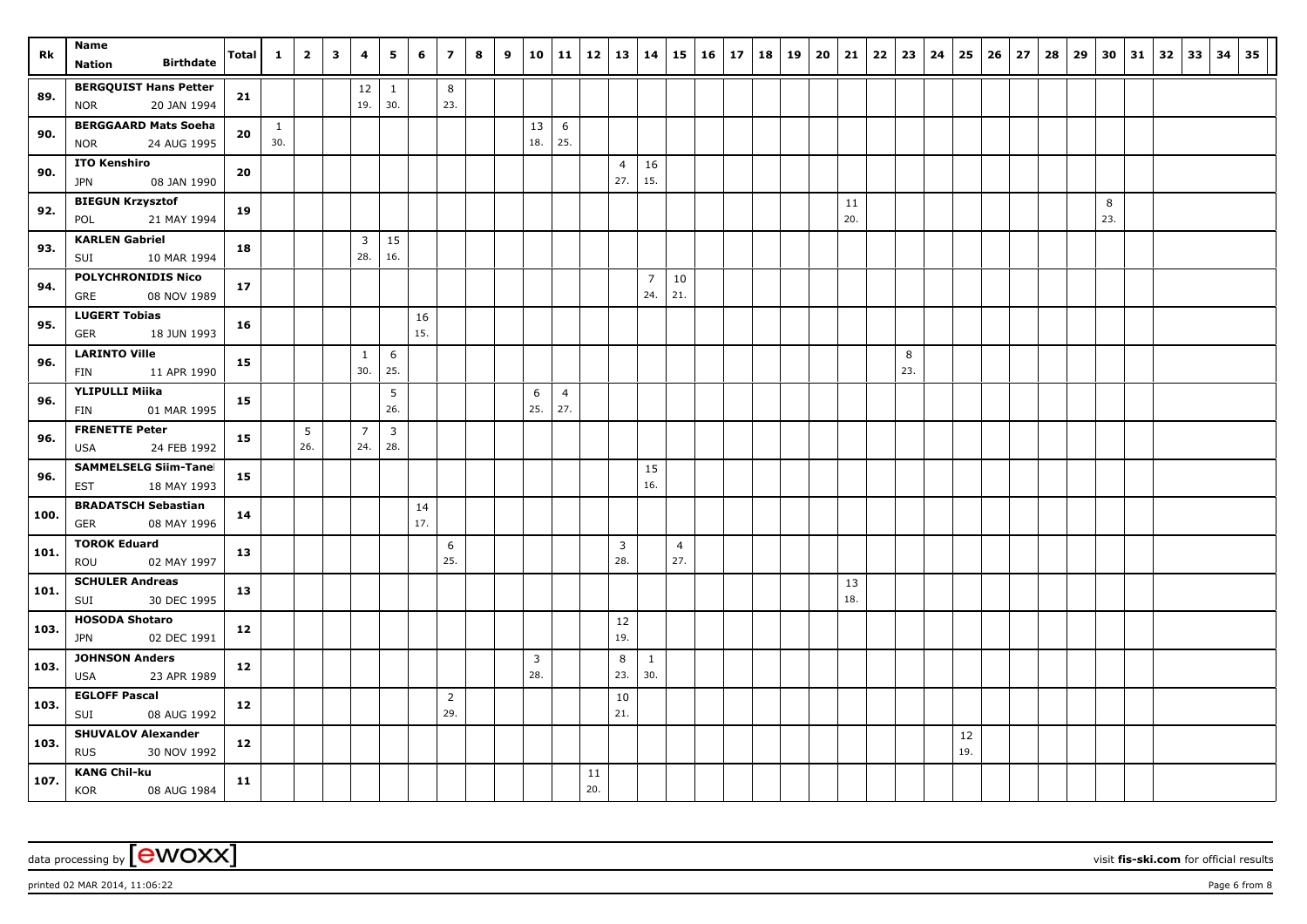| Rk   | Name                                                      | <b>Total</b> | $\mathbf{1}$        | $\overline{2}$ | $\overline{\mathbf{3}}$ | 4                     | 5                     | 6         | $\overline{z}$        | 8 | 9 | 10                  | $11 \mid 12$          |           | 13                    | 14                    | 15                    | 16 | 17 | 18 | 19 | 20 | 21        | 22 | 23       | 24 | 25        | 26 | 27 | 28 | 29 | 30       | 31 | 32 | 33 | 34 | 35 |
|------|-----------------------------------------------------------|--------------|---------------------|----------------|-------------------------|-----------------------|-----------------------|-----------|-----------------------|---|---|---------------------|-----------------------|-----------|-----------------------|-----------------------|-----------------------|----|----|----|----|----|-----------|----|----------|----|-----------|----|----|----|----|----------|----|----|----|----|----|
|      | <b>Birthdate</b><br><b>Nation</b>                         |              |                     |                |                         |                       |                       |           |                       |   |   |                     |                       |           |                       |                       |                       |    |    |    |    |    |           |    |          |    |           |    |    |    |    |          |    |    |    |    |    |
| 89.  | <b>BERGQUIST Hans Petter</b><br>20 JAN 1994<br><b>NOR</b> | 21           |                     |                |                         | 12<br>19.             | 1<br>30.              |           | 8<br>23.              |   |   |                     |                       |           |                       |                       |                       |    |    |    |    |    |           |    |          |    |           |    |    |    |    |          |    |    |    |    |    |
| 90.  | <b>BERGGAARD Mats Soeha</b><br>24 AUG 1995<br><b>NOR</b>  | 20           | $\mathbf{1}$<br>30. |                |                         |                       |                       |           |                       |   |   | 13<br>18.           | 6<br>25.              |           |                       |                       |                       |    |    |    |    |    |           |    |          |    |           |    |    |    |    |          |    |    |    |    |    |
| 90.  | <b>ITO Kenshiro</b><br>08 JAN 1990<br>JPN                 | 20           |                     |                |                         |                       |                       |           |                       |   |   |                     |                       |           | $\overline{4}$<br>27. | 16<br>15.             |                       |    |    |    |    |    |           |    |          |    |           |    |    |    |    |          |    |    |    |    |    |
| 92.  | <b>BIEGUN Krzysztof</b><br>POL<br>21 MAY 1994             | 19           |                     |                |                         |                       |                       |           |                       |   |   |                     |                       |           |                       |                       |                       |    |    |    |    |    | 11<br>20. |    |          |    |           |    |    |    |    | 8<br>23. |    |    |    |    |    |
| 93.  | <b>KARLEN Gabriel</b><br>SUI<br>10 MAR 1994               | 18           |                     |                |                         | 3<br>28.              | 15<br>16.             |           |                       |   |   |                     |                       |           |                       |                       |                       |    |    |    |    |    |           |    |          |    |           |    |    |    |    |          |    |    |    |    |    |
| 94.  | <b>POLYCHRONIDIS Nico</b><br>GRE<br>08 NOV 1989           | 17           |                     |                |                         |                       |                       |           |                       |   |   |                     |                       |           |                       | $\overline{7}$<br>24. | 10<br>21.             |    |    |    |    |    |           |    |          |    |           |    |    |    |    |          |    |    |    |    |    |
| 95.  | <b>LUGERT Tobias</b><br><b>GER</b><br>18 JUN 1993         | 16           |                     |                |                         |                       |                       | 16<br>15. |                       |   |   |                     |                       |           |                       |                       |                       |    |    |    |    |    |           |    |          |    |           |    |    |    |    |          |    |    |    |    |    |
| 96.  | <b>LARINTO Ville</b><br>11 APR 1990<br>FIN                | 15           |                     |                |                         | $\mathbf{1}$<br>30.   | 6<br>25.              |           |                       |   |   |                     |                       |           |                       |                       |                       |    |    |    |    |    |           |    | 8<br>23. |    |           |    |    |    |    |          |    |    |    |    |    |
| 96.  | <b>YLIPULLI Miika</b><br>FIN<br>01 MAR 1995               | 15           |                     |                |                         |                       | 5<br>26.              |           |                       |   |   | 6<br>25.            | $\overline{4}$<br>27. |           |                       |                       |                       |    |    |    |    |    |           |    |          |    |           |    |    |    |    |          |    |    |    |    |    |
| 96.  | <b>FRENETTE Peter</b><br><b>USA</b><br>24 FEB 1992        | 15           |                     | 5<br>26.       |                         | $\overline{7}$<br>24. | $\overline{3}$<br>28. |           |                       |   |   |                     |                       |           |                       |                       |                       |    |    |    |    |    |           |    |          |    |           |    |    |    |    |          |    |    |    |    |    |
| 96.  | <b>SAMMELSELG Siim-Tanel</b><br><b>EST</b><br>18 MAY 1993 | 15           |                     |                |                         |                       |                       |           |                       |   |   |                     |                       |           |                       | 15<br>16.             |                       |    |    |    |    |    |           |    |          |    |           |    |    |    |    |          |    |    |    |    |    |
| 100. | <b>BRADATSCH Sebastian</b><br><b>GER</b><br>08 MAY 1996   | 14           |                     |                |                         |                       |                       | 14<br>17. |                       |   |   |                     |                       |           |                       |                       |                       |    |    |    |    |    |           |    |          |    |           |    |    |    |    |          |    |    |    |    |    |
| 101. | <b>TOROK Eduard</b><br>ROU<br>02 MAY 1997                 | 13           |                     |                |                         |                       |                       |           | 6<br>25.              |   |   |                     |                       |           | $\overline{3}$<br>28. |                       | $\overline{4}$<br>27. |    |    |    |    |    |           |    |          |    |           |    |    |    |    |          |    |    |    |    |    |
| 101. | <b>SCHULER Andreas</b><br>30 DEC 1995<br>SUI              | 13           |                     |                |                         |                       |                       |           |                       |   |   |                     |                       |           |                       |                       |                       |    |    |    |    |    | 13<br>18. |    |          |    |           |    |    |    |    |          |    |    |    |    |    |
| 103. | <b>HOSODA Shotaro</b><br>02 DEC 1991<br><b>JPN</b>        | 12           |                     |                |                         |                       |                       |           |                       |   |   |                     |                       |           | 12<br>19.             |                       |                       |    |    |    |    |    |           |    |          |    |           |    |    |    |    |          |    |    |    |    |    |
| 103. | <b>JOHNSON Anders</b><br>23 APR 1989<br>USA               | 12           |                     |                |                         |                       |                       |           |                       |   |   | $\mathbf{3}$<br>28. |                       |           | 8<br>23.              | $\mathbf{1}$<br>30.   |                       |    |    |    |    |    |           |    |          |    |           |    |    |    |    |          |    |    |    |    |    |
| 103. | <b>EGLOFF Pascal</b><br>08 AUG 1992<br>SUI                | 12           |                     |                |                         |                       |                       |           | $\overline{2}$<br>29. |   |   |                     |                       |           | 10<br>21.             |                       |                       |    |    |    |    |    |           |    |          |    |           |    |    |    |    |          |    |    |    |    |    |
| 103. | <b>SHUVALOV Alexander</b><br><b>RUS</b><br>30 NOV 1992    | 12           |                     |                |                         |                       |                       |           |                       |   |   |                     |                       |           |                       |                       |                       |    |    |    |    |    |           |    |          |    | 12<br>19. |    |    |    |    |          |    |    |    |    |    |
| 107. | <b>KANG Chil-ku</b><br><b>KOR</b><br>08 AUG 1984          | 11           |                     |                |                         |                       |                       |           |                       |   |   |                     |                       | 11<br>20. |                       |                       |                       |    |    |    |    |    |           |    |          |    |           |    |    |    |    |          |    |    |    |    |    |

 $p$ rinted 02 MAR 2014, 11:06:22  $p = 6$  from 8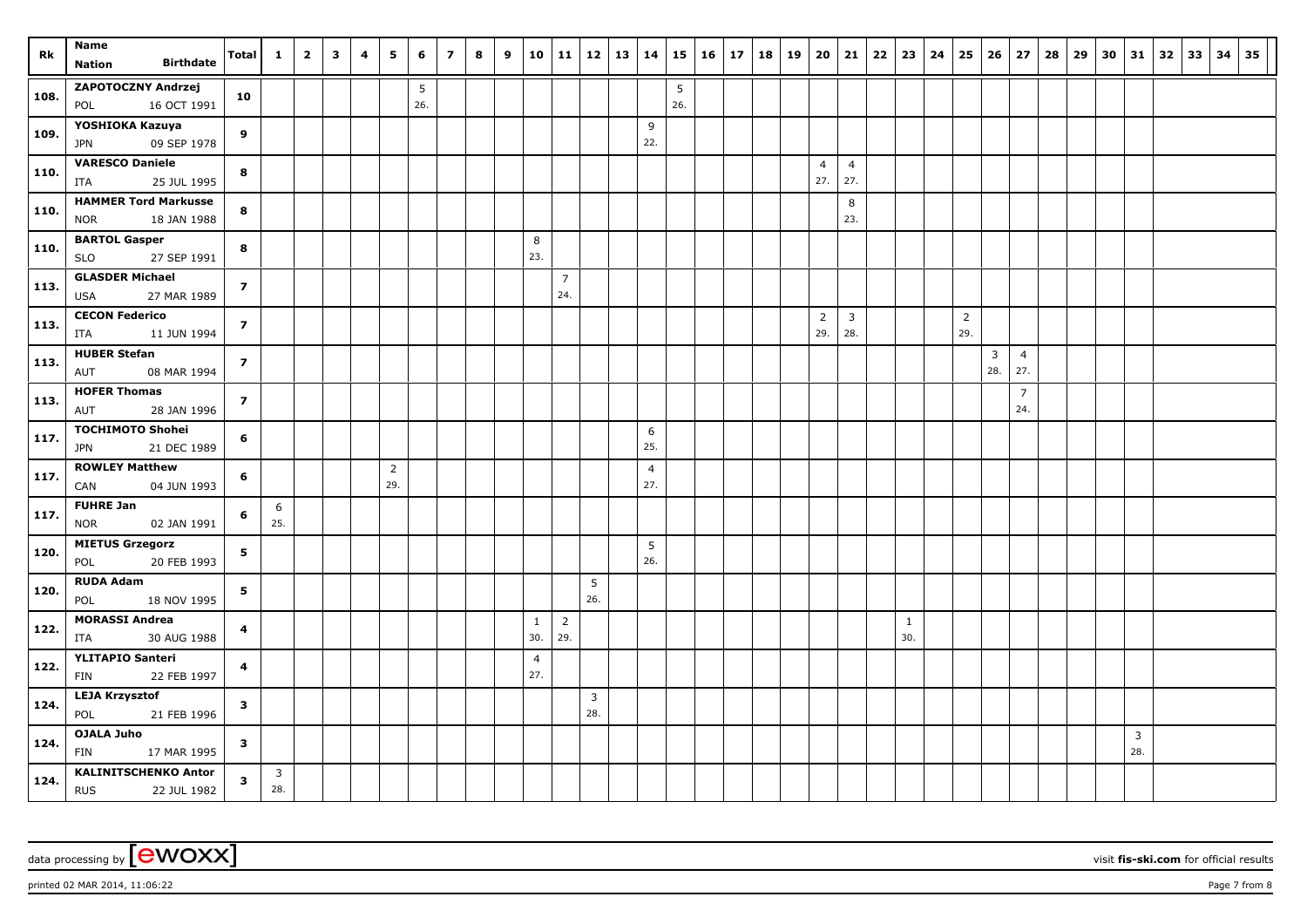| Rk   | Name                                                      | Total                   | $\mathbf{1}$ | $\overline{2}$ | $\overline{\mathbf{3}}$ | 4 | 5                     | 6        | $\overline{z}$ | 8 | 9 | 10                    | $11 \mid 12$          |                       | 13 | 14                     | 15       | 16 | 17 | 18 | 19 | 20                    | 21                    | $22 \mid 23$        | 24 | 25                    | 26                    | 27                    | 28 | 29 | 30 | 31                    | $32 \mid 33$ | 34 | 35 |
|------|-----------------------------------------------------------|-------------------------|--------------|----------------|-------------------------|---|-----------------------|----------|----------------|---|---|-----------------------|-----------------------|-----------------------|----|------------------------|----------|----|----|----|----|-----------------------|-----------------------|---------------------|----|-----------------------|-----------------------|-----------------------|----|----|----|-----------------------|--------------|----|----|
|      | <b>Birthdate</b><br><b>Nation</b>                         |                         |              |                |                         |   |                       |          |                |   |   |                       |                       |                       |    |                        |          |    |    |    |    |                       |                       |                     |    |                       |                       |                       |    |    |    |                       |              |    |    |
| 108. | <b>ZAPOTOCZNY Andrzej</b><br>16 OCT 1991<br>POL           | 10                      |              |                |                         |   |                       | 5<br>26. |                |   |   |                       |                       |                       |    |                        | 5<br>26. |    |    |    |    |                       |                       |                     |    |                       |                       |                       |    |    |    |                       |              |    |    |
| 109. | YOSHIOKA Kazuya<br>09 SEP 1978<br>JPN                     | 9                       |              |                |                         |   |                       |          |                |   |   |                       |                       |                       |    | 9<br>22.               |          |    |    |    |    |                       |                       |                     |    |                       |                       |                       |    |    |    |                       |              |    |    |
| 110. | <b>VARESCO Daniele</b><br>25 JUL 1995<br>ITA              | 8                       |              |                |                         |   |                       |          |                |   |   |                       |                       |                       |    |                        |          |    |    |    |    | $\overline{4}$<br>27. | $\overline{4}$<br>27. |                     |    |                       |                       |                       |    |    |    |                       |              |    |    |
| 110. | <b>HAMMER Tord Markusser</b><br>18 JAN 1988<br><b>NOR</b> | 8                       |              |                |                         |   |                       |          |                |   |   |                       |                       |                       |    |                        |          |    |    |    |    |                       | 8<br>23.              |                     |    |                       |                       |                       |    |    |    |                       |              |    |    |
| 110. | <b>BARTOL Gasper</b><br>27 SEP 1991<br><b>SLO</b>         | 8                       |              |                |                         |   |                       |          |                |   |   | 8<br>23.              |                       |                       |    |                        |          |    |    |    |    |                       |                       |                     |    |                       |                       |                       |    |    |    |                       |              |    |    |
| 113. | <b>GLASDER Michael</b><br>27 MAR 1989<br><b>USA</b>       | $\overline{z}$          |              |                |                         |   |                       |          |                |   |   |                       | $\overline{7}$<br>24. |                       |    |                        |          |    |    |    |    |                       |                       |                     |    |                       |                       |                       |    |    |    |                       |              |    |    |
| 113. | <b>CECON Federico</b><br>11 JUN 1994<br>ITA               | $\overline{\mathbf{z}}$ |              |                |                         |   |                       |          |                |   |   |                       |                       |                       |    |                        |          |    |    |    |    | $\overline{2}$<br>29. | $\overline{3}$<br>28. |                     |    | $\overline{2}$<br>29. |                       |                       |    |    |    |                       |              |    |    |
| 113. | <b>HUBER Stefan</b><br>AUT<br>08 MAR 1994                 | $\overline{z}$          |              |                |                         |   |                       |          |                |   |   |                       |                       |                       |    |                        |          |    |    |    |    |                       |                       |                     |    |                       | $\overline{3}$<br>28. | $\overline{4}$<br>27. |    |    |    |                       |              |    |    |
| 113. | <b>HOFER Thomas</b><br>28 JAN 1996<br>AUT                 | $\overline{z}$          |              |                |                         |   |                       |          |                |   |   |                       |                       |                       |    |                        |          |    |    |    |    |                       |                       |                     |    |                       |                       | $\overline{7}$<br>24. |    |    |    |                       |              |    |    |
| 117. | <b>TOCHIMOTO Shohei</b><br>21 DEC 1989<br><b>JPN</b>      | 6                       |              |                |                         |   |                       |          |                |   |   |                       |                       |                       |    | 6<br>25.               |          |    |    |    |    |                       |                       |                     |    |                       |                       |                       |    |    |    |                       |              |    |    |
| 117. | <b>ROWLEY Matthew</b><br>04 JUN 1993<br>CAN               | 6                       |              |                |                         |   | $\overline{2}$<br>29. |          |                |   |   |                       |                       |                       |    | $\overline{4}$<br>27.  |          |    |    |    |    |                       |                       |                     |    |                       |                       |                       |    |    |    |                       |              |    |    |
| 117. | <b>FUHRE Jan</b><br><b>NOR</b><br>02 JAN 1991             | 6                       | 6<br>25.     |                |                         |   |                       |          |                |   |   |                       |                       |                       |    |                        |          |    |    |    |    |                       |                       |                     |    |                       |                       |                       |    |    |    |                       |              |    |    |
| 120. | <b>MIETUS Grzegorz</b><br>POL<br>20 FEB 1993              | 5                       |              |                |                         |   |                       |          |                |   |   |                       |                       |                       |    | $5\phantom{.0}$<br>26. |          |    |    |    |    |                       |                       |                     |    |                       |                       |                       |    |    |    |                       |              |    |    |
| 120. | <b>RUDA Adam</b><br>POL<br>18 NOV 1995                    | 5                       |              |                |                         |   |                       |          |                |   |   |                       |                       | 5<br>26.              |    |                        |          |    |    |    |    |                       |                       |                     |    |                       |                       |                       |    |    |    |                       |              |    |    |
| 122. | <b>MORASSI Andrea</b><br>ITA<br>30 AUG 1988               | 4                       |              |                |                         |   |                       |          |                |   |   | $\mathbf{1}$<br>30.   | $\overline{2}$<br>29. |                       |    |                        |          |    |    |    |    |                       |                       | $\mathbf{1}$<br>30. |    |                       |                       |                       |    |    |    |                       |              |    |    |
| 122. | <b>YLITAPIO Santeri</b><br>FIN<br>22 FEB 1997             | 4                       |              |                |                         |   |                       |          |                |   |   | $\overline{4}$<br>27. |                       |                       |    |                        |          |    |    |    |    |                       |                       |                     |    |                       |                       |                       |    |    |    |                       |              |    |    |
| 124. | <b>LEJA Krzysztof</b><br>21 FEB 1996<br>POL               | 3                       |              |                |                         |   |                       |          |                |   |   |                       |                       | $\overline{3}$<br>28. |    |                        |          |    |    |    |    |                       |                       |                     |    |                       |                       |                       |    |    |    |                       |              |    |    |
| 124. | <b>OJALA Juho</b><br>FIN<br>17 MAR 1995                   | 3                       |              |                |                         |   |                       |          |                |   |   |                       |                       |                       |    |                        |          |    |    |    |    |                       |                       |                     |    |                       |                       |                       |    |    |    | $\overline{3}$<br>28. |              |    |    |
| 124. | <b>KALINITSCHENKO Anton</b><br><b>RUS</b><br>22 JUL 1982  | 3                       | 3<br>28.     |                |                         |   |                       |          |                |   |   |                       |                       |                       |    |                        |          |    |    |    |    |                       |                       |                     |    |                       |                       |                       |    |    |    |                       |              |    |    |

## data processing by **CWOXX** wisit **fis-ski.com** for official results

printed 02 MAR 2014,  $11:06:22$  Page 7 from 8